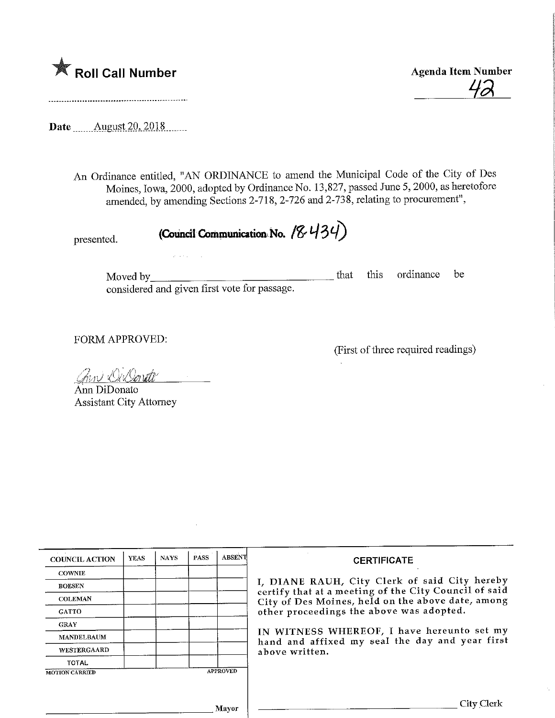

**Agenda Item Number** 

Date ...,...August.2Q,2018,

An Ordinance entitled, "AN ORDINANCE to amend the Municipal Code of the City of Des Moines, Iowa, 2000, adopted by Ordinance No. 13,827, passed June 5, 2000, as heretofore amended, by amending Sections 2-718, 2-726 and 2-738, relating to procurement",

presented. (Council Communication No.  $(8.434)$ 

Moved by\_ considered and given first vote for passage. that this ordinance be

FORM APPROVED:

(First of three required readings)

<u>Ann Oillonate</u>

 $\mathcal{L}^{\mathcal{L}}$  and  $\mathcal{L}^{\mathcal{L}}$  and  $\mathcal{L}^{\mathcal{L}}$ 

Ann DiDonato Assistant City Attorney

| <b>COUNCIL ACTION</b> | <b>YEAS</b> | <b>NAYS</b> | <b>PASS</b> | <b>ABSENT</b>   | <b>CERTIFICATE</b>                                                                                                                                                                                      |
|-----------------------|-------------|-------------|-------------|-----------------|---------------------------------------------------------------------------------------------------------------------------------------------------------------------------------------------------------|
| <b>COWNIE</b>         |             |             |             |                 |                                                                                                                                                                                                         |
| <b>BOESEN</b>         |             |             |             |                 | I, DIANE RAUH, City Clerk of said City hereby<br>certify that at a meeting of the City Council of said<br>City of Des Moines, held on the above date, among<br>other proceedings the above was adopted. |
| <b>COLEMAN</b>        |             |             |             |                 |                                                                                                                                                                                                         |
| <b>GATTO</b>          |             |             |             |                 |                                                                                                                                                                                                         |
| <b>GRAY</b>           |             |             |             |                 |                                                                                                                                                                                                         |
| <b>MANDELBAUM</b>     |             |             |             |                 | IN WITNESS WHEREOF, I have hereunto set my<br>hand and affixed my seal the day and year first                                                                                                           |
| WESTERGAARD           |             |             |             |                 | above written.                                                                                                                                                                                          |
| <b>TOTAL</b>          |             |             |             |                 |                                                                                                                                                                                                         |
| <b>MOTION CARRIED</b> |             |             |             | <b>APPROVED</b> |                                                                                                                                                                                                         |
|                       |             |             |             |                 |                                                                                                                                                                                                         |
|                       |             |             |             |                 |                                                                                                                                                                                                         |
| Mayor                 |             |             |             |                 | City Clerk                                                                                                                                                                                              |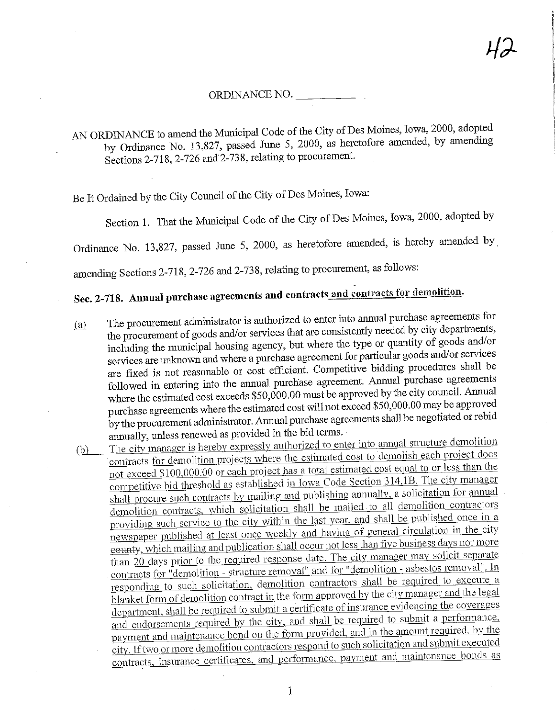## ORDINANCE NO.

A ORDINANCE to amend the Municipal Code of the City of the mended by amending  $\frac{13,627}{200}$  passed June 5, 2000, as heretofore and  $\frac{13,627}{200}$ Sections 2-718, 2-726 and'2-738, relating to procurement.

Be It Ordained by the City Council of the City of Des Moines, Iowa:

Section 1. That the Municipal Code of the City of Des Moines, Iowa, 2000, adopted by

Ordinance No. 13,827, passed June 5, 2000, as heretofore amended, is hereby amended by

amending Sections 2-718, 2-726 and 2-738, relating to procurement, as follows:

## Sec. 2-718. Annual purchase agreements and contracts and contracts for demolition.

 ${a}$  The procurement administrator is authorized to enter into annual purchase agreements for the procurement of goods and/or services that are consistently needed by city departments, including the municipal housing agency, but where the type or quantity of goods and/or services are unknown and where a purchase agreement for particular goods and/or services are fixed is not reasonable or cost efficient. Competitive bidding procedures shall be followed in entering into the annual purchase agreement. Annual purchase agreements where the estimated cost exceeds  $$50,000.00$  must be approved by the city council. Annual purchase agreements where the estimated cost will not exceed  $$50,000.00$  may be approved purchase agreements where the estimated cost will not exceed at a 50,000 may be approximated and the negotiated or rebid  $\mathbf y$  the procurement admission  $\mathbf x$  and  $\mathbf x$  is the negotiated or  $\mathbf y$  represents shall be negotiated or  $\mathbf x$  represents the negotiated or  $\mathbf y$  represents the negotiated or  $\mathbf y$  represents the negotiated or

annually, unless renewed as provided in the bid terms.<br>The city manager is hereby expressly authorized to enter into annual structure demolition (b) The city manager is hereby expressly authorized to enter into annual structure contracts for demolition projects where the estimated cost to demolish each project does not exceed  $$100,000.00$  or each project has a total estimated cost equal to or less than the competitive bid threshold as established in Iowa Code Section 314.1B. The city manager shall procure such contracts by mailing and publishing annually, a solicitation for annual demolition contracts, which solicitation shall be mailed to all demolition contractors providing such service to the city within the last year, and shall be published once in a newspaper published at least once weekly and having of general circulation in the city eounty, which mailing and publication shall occur not less than five business days nor more than 20 days prior to the required response date. The city manager may solicit separate contracts for "demolition - structure removal" and for "demolition - asbestos removal". In responding to such solicitation, demolition contractors shall be required to execute a  $\frac{1}{\text{blanket form of demolition contract in the form approved by the city manager and the legal}}$ department, shall be required to submit a certificate of insurance evidencing the coverages and endorsements required by the city, and shall be required to submit a performance. payment and maintenance bond on the form provided, and in the amount required, by the city. If two or more demolition contractors respond to such solicitation and submit executed city. If two or more demolition contractors response to portract and maintenance honds as contracts, insurance certificates, and performance, payment and maintenance bonds and maintenance bonds as

 $\mathbbm{1}$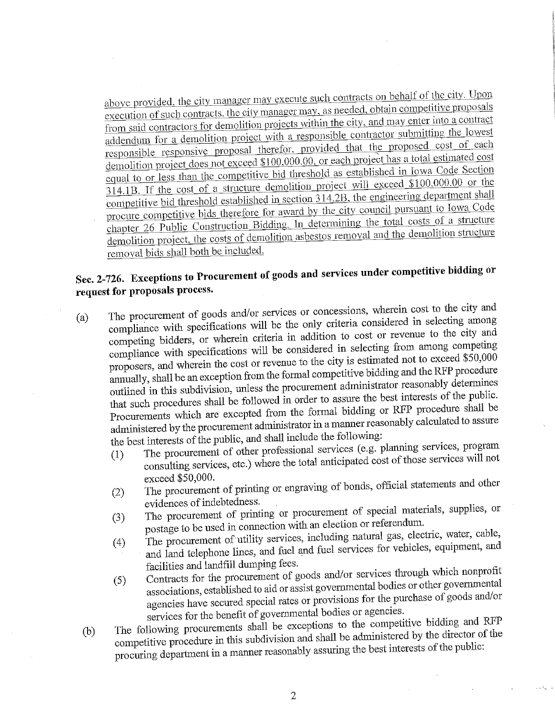above provided, the city manager may execute such contracts on behalf of the city. Upon execution of such contracts, the city manager may, as needed, obtain competitive proposals from said contractors for demolition projects within the city, and may enter into a contract addendum for a demolition project with a responsible contractor submitting the lowest responsible responsive proposal therefor, provided that the proposed cost of each demolition project does not exceed \$100,000.00, or each project has a total estimated cost equal to or less than the competitive bid threshold as established in Iowa Code Section  $\overline{314.1B}$ . If the cost of a structure demolition project will exceed \$100,000.00 or the competitive bid threshold established in section 314.2B, the engineering department shall procure competitive bids therefore for award by the city council pursuant to Iowa Code chapter 26 Public Construction Bidding. In determining the total costs of a structure  $\frac{26 \text{ Public Constantaction Bidating.}$  In determining the demolition structure demonth protect, the costs of demolities removal and the demonstration removal bids shall both be included.

## Sec. 2-726. Exceptions to Procurement of goods and services under competitive bidding or request for proposals process.

- (a) The procurement of goods and/or services or concessions, wherein cost to the city and compliance with specifications will be the only criteria considered in selecting among competing bidders, or wherein criteria in addition to cost or revenue to the city and compliance with specifications will be considered in selecting from among competing proposers, and wherein the cost or revenue to the city is estimated not to exceed  $$50,000$ annually, shall be an exception from the formal competitive bidding and the RFP procedure outlined in this subdivision, unless the procurement administrator reasonably determines that such procedures shall be followed in order to assure the best interests of the public. Procurements which are excepted from the formal bidding or RFP procedure shall be procurements which are excepted from the formal bidding property reasonably calculated to assure  $\frac{d}{dt}$  and procurement administrator manifolds the following:
	- the best interests of the public, and shall include the following:<br>(1) The procurement of other professional services (e.g. planning services, program<br>(1) The procurement of other professional services will not  $\frac{1}{1}$  The procurement of other professional services (e.g. professor professional services will not  $\alpha$  consulting services, etc.) where the total anticipated  $\alpha$
	- $\frac{1}{2}$ exceed  $\frac{1}{2}$  $(2)$  The procurement of printing or engraving  $\sigma$
	- evidences of indebtedness.<br>The procurement of printing or procurement of special materials, supplies, or (3) The procurement of printing or procurement of special materials, postage to be used in connection with an election or referendum.
	- The procurement of utility services, including natural gas, electric, water, cable, 4) The procurement of utility services, including  $\alpha$  is the contractor of the services for vehicles, equipment, and  $\alpha$  and telephone mass, and  $\alpha$  very  $\alpha$  and  $\alpha$
	- facilities and landfill dumping fees. (5) Contracts for the procurement of goods and/or services through which nonprofit associations, established to aid or assist governmental bodies or other governmental  $\alpha$  associations, established to aid or assist governmental body and  $\alpha$ agencies have secured special rates or provides or agencies. services for the benefit of governmental bodies or agencies.<br>The following procurements shall be exceptions to the competitive bidding and RFP
	- (b) The following procurements shall be exceptions to the competitive procedure in this subdivision and shall be administered by the director of the competitive procedure in this subdivision and shall be administered by the director of the public: procuring department m a manner reasonably  $\frac{1}{2}$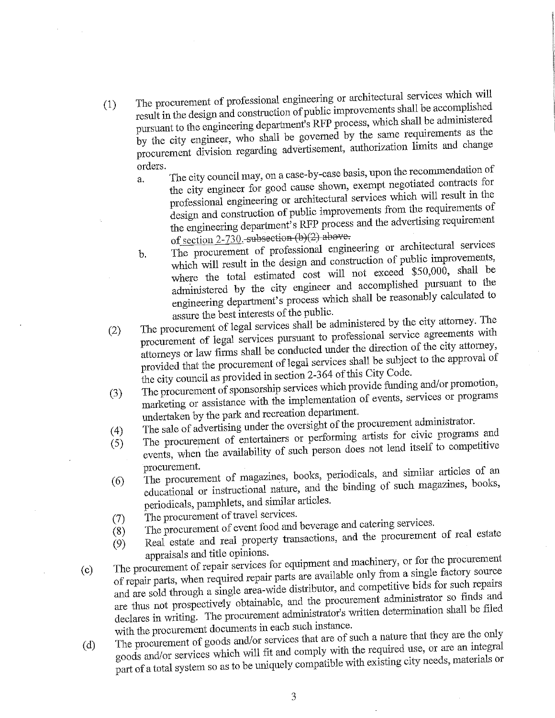- The procurement of professional engineering or architectural services which will result in the design and construction of public improvements shall be accomplished  $(1)$ pursuant to the engineering department's RFP process, which shall be administered by the city engineer, who shall be governed by the same requirements as the the city engineer, who shall be governed by a shall be governed by the same requirement. procurement division- regarding advertisement, authorization limits and changes and changes and changes and changes and changes and changes and changes and changes and changes and changes and changes and changes and change
	- orders.<br>a. The city council may, on a case-by-case basis, upon the recommendation of the city engineer for good cause shown, exempt negotiated contracts for a. professional engineering or architectural services which will result in the design and construction of public improvements from the requirements of  $d_{\text{grav}}$  denotes  $\frac{1}{4}$   $\frac{1}{8}$  RFP process and the advertising requirement  $\frac{1}{2}$  engineering department (b)(2) phove
	- of section 2-730. subsection (b)(2) above.<br>The procurement of professional engineering or architectural services  $<sub>b</sub>$ </sub> which will result in the design and construction of public improvements, where the total estimated cost will not exceed \$50,000, shall be administered by the city engineer and accomplished pursuant to the  $\frac{1}{2}$  is the city  $\frac{1}{2}$  of  $\frac{1}{2}$  and  $\frac{1}{2}$  or the shall be reasonably calculated to  $\epsilon$  dependence  $\epsilon$  process which shall be reasonably calculated to  $\epsilon$  the multiple
- assure the best interests of the public.<br>The procurement of legal services shall be administered by the city attorney. The (2) The procurement of legal services shall be administered by the city attention procurement of legal services pursuant to professional service agreements with attorneys or law firms shall be conducted under the direction of the city attorney, provided that the procurement of legal services shall be subject to the approval of the city council as provided in section 2-364 of this City Code.
- The procurement of sponsorship services which provide funding and/or promotion,  $\frac{1}{2}$  The procurement of sponsorship is implementation of events, services or programs  $\frac{1}{2}$  marketing or assistance with the implementation of events or programs. undertaken by the park and recreation department.
- 
- (4) The sale of advertising under the oversight of the procurement administrator.<br>
(5) The procurement of entertainers or performing artists for civic programs and<br>  $\frac{1}{2}$  and  $\frac{1}{2}$  are also not lead itself to compe ( $\frac{1}{2}$ ) The procurement of entertaints or  $\frac{1}{2}$  person does not lend itself to competitive  $\sum_{\text{POLIS}}$  when the availability of such person does not length to competitive to competitive to complete to complete to complete the such person does not length to complete the such person of  $\Gamma$
- procurement.<br>The procurement of magazines, books, periodicals, and similar articles of an (6) The procurement of magazines,  $\frac{1}{2}$  is the binding of such magazines, books,  $\mu$ educidar or instructional nations, and  $\mu$ periodicals, pamphlets, and similar articles.
- 
- (7) The procurement of travel services.<br>(8) The procurement of event food and beverage and catering services.
- $(8)$  The procurement of event for  $\frac{1}{2}$  is  $\frac{1}{2}$  representions and the procurement (9) Real estate and real property transactions, and the property of real estate real estate of real estate real estate real estate real estate real estate real estate real estate real estate real estate real estate real es
- appraisals and title opinions.<br>The procurement of repair services for equipment and machinery, or for the procurement (c) The procurement of repair services for equipment and machinery, or for the procure of repair parts, when required repair parts are available only from a single factory source and are sold through a single area-wide distributor, and competitive bids for such repairs are thus not prospectively obtainable, and the procurement administrator so finds and re thus not prospectively obtained by and the prospectively obtained to provide the procurement administrator's written determination shall be filed  $\theta$  declares in writing. The process write in each such instance
- with the procurement documents in each such instance.<br>The procurement of goods and/or services that are of such a nature that they are the only (d) The procurement of goods and/or services that are of such a nature that the operator are the products and/or services which will fit and comply with the required use, or are an integral oods and/or services which will find a compatible with existing city needs, materials or part of a total system so as to be uniquely compatible  $\frac{1}{2}$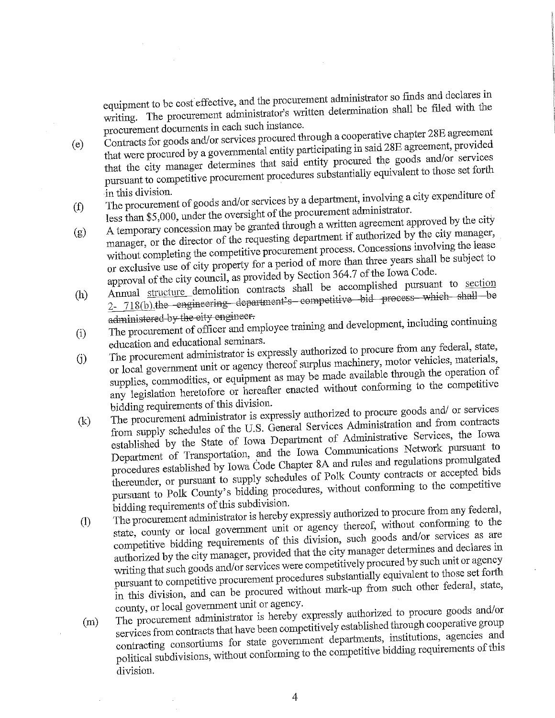pinent to be cost expected administrator's written determination shall be filed with the  $m_{\rm g}$ . The procurement administrator s written determines when  $m_{\rm g}$ 

- procurement documents in each such instance.<br>Contracts for goods and/or services procured through a cooperative chapter 28E agreement that were procured by a governmental entity participating in said 28E agreement, provided  $(e)$ that the city manager determines that said entity procured the goods and/or services the city manager determines that  $\epsilon$  is substantially equivalent to those set forth pursuant to competitive procedures substantially equivalent to the set  $\frac{1}{2}$
- in this division.<br>The procurement of goods and/or services by a department, involving a city expenditure of  $(f)$ less than \$5,000, under the oversight of the procurement administrator.
- A temporary concession may be granted through a written agreement approved by the city manager, or the director of the requesting department if authorized by the city manager,  $(g)$ without completing the competitive procurement process. Concessions involving the lease or exclusive use of city property for a period of more than three years shall be subject to approval of the city council, as provided by Section 364.7 of the Iowa Code.
- Annual structure demolition contracts shall be accomplished pursuant to section Annual structure demolition contracts competitive bid process which shall be  $718(0)$ . the engineering department  $\sim$
- $\frac{1}{2}$  $(i)$  $\sum_{i=1}^{\infty}$  The procurement of officer and employee training  $\sum_{i=1}^{\infty}$
- education and educational seminars.<br>The procurement administrator is expressly authorized to procure from any federal, state, (j) The procurement administrator is expressly authorized to proceed from any federal, or local government unit or agency thereof surplus machinery, motor vehicles, materials, supplies, commodities, or equipment as may be made available through the operation of pplies, commodities, or equipment as matted without conforming to the competitive any legislation heretofore or hereafter enacted without conforming to the competitive
- bidding requirements of this division.<br>The procurement administrator is expressly authorized to procure goods and/ or services (k) The procurement administrator is expressly authorized to procure goods and  $\frac{1}{2}$  in services from supply schedules of the U.S. General Services Administration and from contracts established by the State of Iowa Department of Administrative Services, the Iowa Department of Transportation, and the Iowa Communications Network pursuant to procedures established by Iowa Code Chapter 8A and rules and regulations promulgated thereunder, or pursuant to supply schedules of Polk County contracts or accepted bids tereunder, or pursuant to supply settlement of the competitive conforming to the competitive  $\frac{p}{p}$
- bidding requirements of this subdivision. (1) The procurement administrator is nereby expressly authorized to procure from any state, county or local government unit or agency thereof, without conforming to the competitive bidding requirements of this division, such goods and/or services as are authorized by the city manager, provided that the city manager determines and declares in writing that such goods and/or services were competitively procured by such unit or agency pursuant to competitive procurement procedures substantially equivalent to those set forth pursuant to competitive procedured without mark-up from such other federal, state,  $\mu$  this division, and can be procured without mark-up from such other federal, state, state, state, state, state, state, state, state, state, state, state, state, state, state, state, state, state, state, state, state,
- county, or local government unit or agency.<br>The procurement administrator is hereby expressly authorized to procure goods and/or (m) The procurement administrator is hereby expressly authorized to process  $\frac{1}{2}$  and  $\frac{1}{2}$  and  $\frac{1}{2}$  and  $\frac{1}{2}$  and  $\frac{1}{2}$  and  $\frac{1}{2}$  and  $\frac{1}{2}$  and  $\frac{1}{2}$  and  $\frac{1}{2}$  and  $\frac{1}{2}$  and  $\frac{1$ contracting consortiums for state government departments, institutions, agencies and contracting consortiums for state  $\sigma$ political subdivisions, without confounmg to the competitive bidding requirements of this division.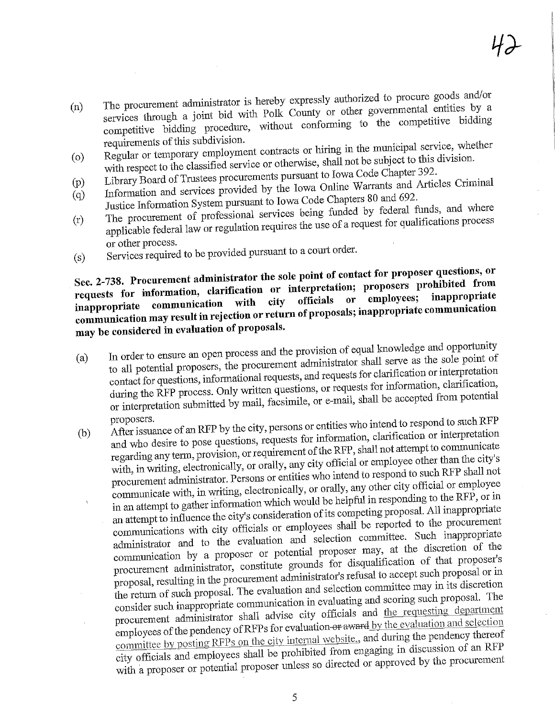- The procurement administrator is hereby expressly authorized to procure goods and/or services through a joint bid with Polk County or other governmental entities by a  $(n)$  $\frac{1}{2}$  see through a joint bid with  $\frac{1}{2}$  is the competitive bidding petitive bidding procedure, with competitive competitive bidding to the competitive bidding to the competitive bidding of the competitive bidding of the competitive bidding of the competitive bidding of the competitive bid
- requirements of this subdivision.<br>Regular or temporary employment contracts or hiring in the municipal service, whether with respect to the classified service or otherwise, shall not be subject to this division.  $\omega$
- Library Board of Trustees procurements pursuant to Iowa Code Chapter 392.
- Information and services provided by the Iowa Online Warrants and Articles Criminal  $(p)$  $(q)$
- Justice Information System pursuant to Iowa Code Chapters 80 and 692. The procurement of professional services being funded by federal funds, and where  $(r)$
- The procurement of professional services the use of a request for qualifications process applicable federal law or regulation request for  $\frac{1}{2}$ orier process.
- $(s)$  $S$ ervices required to be provided pursuant to a court of  $S$

## $\mathbb{R}$ . 2-738. Procurement administrator the solution or interpretation; proposers prohibited from rests for information, clarification or interpretation or employees; inappropriate ippropriate communication with city of the communication munication may result in rejection of the communication of proposals; in the communication of proposals; in the communication of proposals; in the communication of proposals; in the communication of proposals; in the commu

- may be considered in evaluation of proposals.<br>(a) In order to ensure an open process and the provision of equal knowledge and opportunity (a) In order to ensure an open process and the provision of equal knowledge and  $\epsilon_F$  is the sole point of to all potential proposers, the procurement administrator shall serve as the sole point of contact for questions, informational requests, and requests for clarification or interpretation during the RFP process. Only written questions, or requests for information, clarification,  $\lim_{\alpha \to \infty}$  the RFP process.  $\alpha$  is the  $\alpha$  in  $\alpha$  in  $\alpha$  in  $\alpha$  in  $\alpha$  in  $\alpha$  in  $\alpha$  in  $\alpha$  in  $\alpha$  in  $\alpha$  in  $\alpha$  in  $\alpha$  in  $\alpha$  in  $\alpha$  in  $\alpha$  in  $\alpha$  in  $\alpha$  in  $\alpha$  in  $\alpha$  in  $\alpha$  in  $\alpha$  in  $\alpha$  in  $\$  $\sum_{i=1}^n$  interpretation submitted  $\sum_{i=1}^n$
- proposers.<br>After issuance of an RFP by the city, persons or entities who intend to respond to such RFP (b) After issuance of an KFP by the city, persons or entities who intend to response and who desire to pose questions, requests for information, clarification or interpretation regarding any term, provision, or requirement of the RFP, shall not attempt to communicate with, in writing, electronically, or orally, any city official or employee other than the city's procurement administrator. Persons or entities who intend to respond to such RFP shall not communicate with, in writing, electronically, or orally, any other city official or employee in an attempt to gather information which would be helpful in responding to the RFP, or in an attempt to influence the city's consideration of its competing proposal. All inappropriate communications with city officials or employees shall be reported to the procurement administrator and to the evaluation and selection committee. Such inappropriate communication by a proposer or potential proposer may, at the discretion of the procurement administrator, constitute grounds for disqualification of that proposer's proposal, resulting in the procurement administrator's refusal to accept such proposal or in the return of such proposal. The evaluation and selection committee may in its discretion consider such inappropriate communication in evaluating and scoring such proposal. The procurement administrator shall advise city officials and the requesting department employees of the pendency of RFPs for evaluation-or award by the evaluation and selection committee by posting RFPs on the city internal website,, and during the pendency thereof city officials and employees shall be prohibited from engaging in discussion of an RFP city officials and employees shall be produced or approved by the procurement with a proposer or potential  $p_{n-1}$